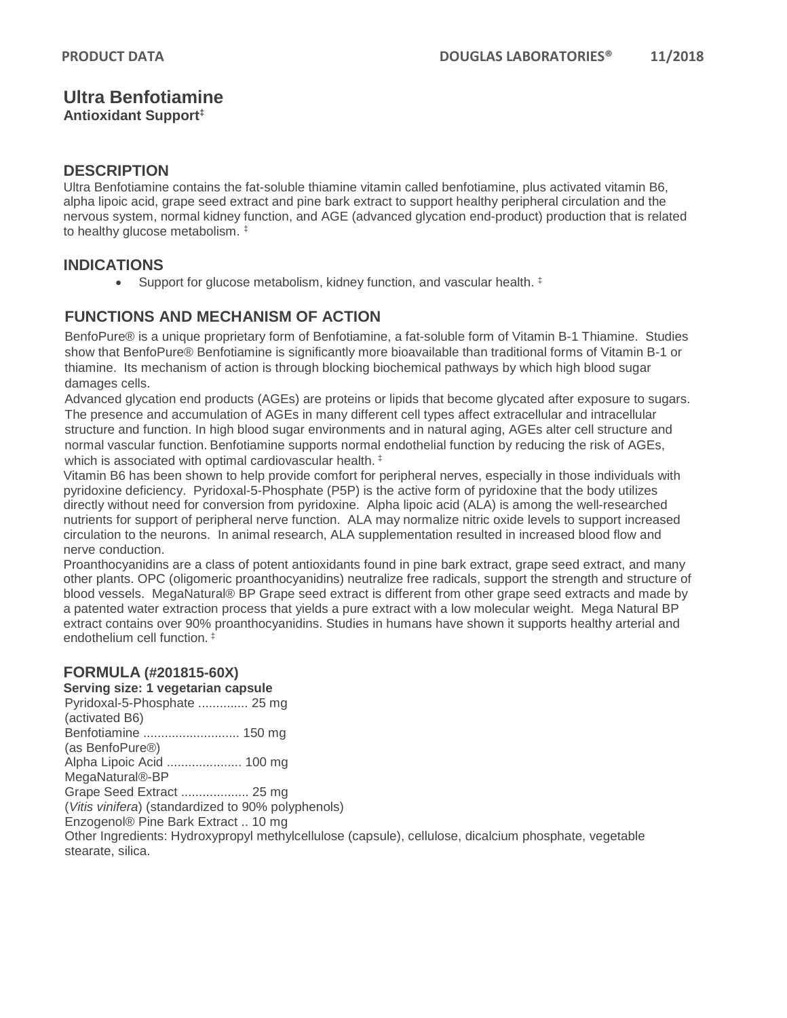# **Ultra Benfotiamine**

**Antioxidant Support‡**

### **DESCRIPTION**

Ultra Benfotiamine contains the fat-soluble thiamine vitamin called benfotiamine, plus activated vitamin B6, alpha lipoic acid, grape seed extract and pine bark extract to support healthy peripheral circulation and the nervous system, normal kidney function, and AGE (advanced glycation end-product) production that is related to healthy glucose metabolism. ‡

## **INDICATIONS**

• Support for glucose metabolism, kidney function, and vascular health.  $\ddagger$ 

## **FUNCTIONS AND MECHANISM OF ACTION**

BenfoPure® is a unique proprietary form of Benfotiamine, a fat-soluble form of Vitamin B-1 Thiamine. Studies show that BenfoPure® Benfotiamine is significantly more bioavailable than traditional forms of Vitamin B-1 or thiamine. Its mechanism of action is through blocking biochemical pathways by which high blood sugar damages cells.

Advanced glycation end products (AGEs) are proteins or lipids that become glycated after exposure to sugars. The presence and accumulation of AGEs in many different cell types affect extracellular and intracellular structure and function. In high blood sugar environments and in natural aging, AGEs alter cell structure and normal vascular function. Benfotiamine supports normal endothelial function by reducing the risk of AGEs, which is associated with optimal cardiovascular health.<sup>‡</sup>

Vitamin B6 has been shown to help provide comfort for peripheral nerves, especially in those individuals with pyridoxine deficiency. Pyridoxal-5-Phosphate (P5P) is the active form of pyridoxine that the body utilizes directly without need for conversion from pyridoxine. Alpha lipoic acid (ALA) is among the well-researched nutrients for support of peripheral nerve function. ALA may normalize nitric oxide levels to support increased circulation to the neurons. In animal research, ALA supplementation resulted in increased blood flow and nerve conduction.

Proanthocyanidins are a class of potent antioxidants found in pine bark extract, grape seed extract, and many other plants. OPC (oligomeric proanthocyanidins) neutralize free radicals, support the strength and structure of blood vessels. MegaNatural® BP Grape seed extract is different from other grape seed extracts and made by a patented water extraction process that yields a pure extract with a low molecular weight. Mega Natural BP extract contains over 90% proanthocyanidins. Studies in humans have shown it supports healthy arterial and endothelium cell function. ‡

### **FORMULA (#201815-60X)**

#### **Serving size: 1 vegetarian capsule**

Pyridoxal-5-Phosphate .............. 25 mg (activated B6) Benfotiamine ........................... 150 mg (as BenfoPure®) Alpha Lipoic Acid ..................... 100 mg MegaNatural®-BP Grape Seed Extract ................... 25 mg (*Vitis vinifera*) (standardized to 90% polyphenols)

Enzogenol® Pine Bark Extract .. 10 mg

Other Ingredients: Hydroxypropyl methylcellulose (capsule), cellulose, dicalcium phosphate, vegetable stearate, silica.